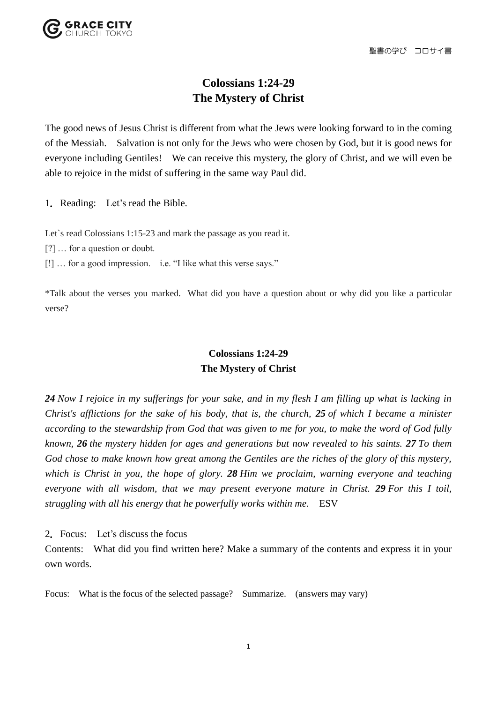聖書の学び コロサイ書

## **Colossians 1:24-29 The Mystery of Christ**

The good news of Jesus Christ is different from what the Jews were looking forward to in the coming of the Messiah. Salvation is not only for the Jews who were chosen by God, but it is good news for everyone including Gentiles! We can receive this mystery, the glory of Christ, and we will even be able to rejoice in the midst of suffering in the same way Paul did.

1.Reading: Let's read the Bible.

Let's read Colossians 1:15-23 and mark the passage as you read it.

- [?] … for a question or doubt.
- [!] … for a good impression. i.e. "I like what this verse says."

\*Talk about the verses you marked. What did you have a question about or why did you like a particular verse?

## **Colossians 1:24-29 The Mystery of Christ**

*24 Now I rejoice in my sufferings for your sake, and in my flesh I am filling up what is lacking in Christ's afflictions for the sake of his body, that is, the church, 25 of which I became a minister according to the stewardship from God that was given to me for you, to make the word of God fully known, 26 the mystery hidden for ages and generations but now revealed to his saints. 27 To them God chose to make known how great among the Gentiles are the riches of the glory of this mystery, which is Christ in you, the hope of glory. 28 Him we proclaim, warning everyone and teaching everyone with all wisdom, that we may present everyone mature in Christ. 29 For this I toil, struggling with all his energy that he powerfully works within me.* ESV

2.Focus: Let's discuss the focus

Contents: What did you find written here? Make a summary of the contents and express it in your own words.

Focus: What is the focus of the selected passage? Summarize. (answers may vary)